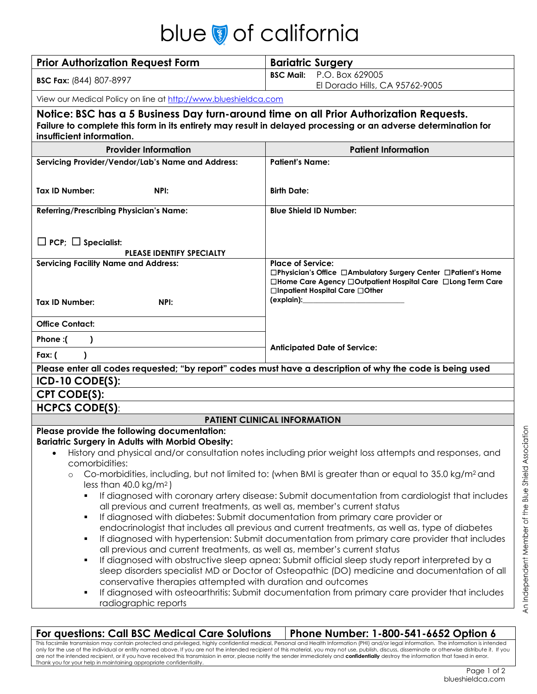## blue a of california

| <b>NIUW VI CUIIIUI IIU</b>                                                                                                                                                                                                            |                                                                                                                                                                                   |
|---------------------------------------------------------------------------------------------------------------------------------------------------------------------------------------------------------------------------------------|-----------------------------------------------------------------------------------------------------------------------------------------------------------------------------------|
| <b>Prior Authorization Request Form</b>                                                                                                                                                                                               | <b>Bariatric Surgery</b>                                                                                                                                                          |
| <b>BSC Fax: (844) 807-8997</b>                                                                                                                                                                                                        | P.O. Box 629005<br><b>BSC Mail:</b>                                                                                                                                               |
|                                                                                                                                                                                                                                       | El Dorado Hills, CA 95762-9005                                                                                                                                                    |
| View our Medical Policy on line at http://www.blueshieldca.com                                                                                                                                                                        |                                                                                                                                                                                   |
| Notice: BSC has a 5 Business Day turn-around time on all Prior Authorization Requests.<br>Failure to complete this form in its entirety may result in delayed processing or an adverse determination for<br>insufficient information. |                                                                                                                                                                                   |
| <b>Provider Information</b>                                                                                                                                                                                                           | <b>Patient Information</b>                                                                                                                                                        |
| Servicing Provider/Vendor/Lab's Name and Address:                                                                                                                                                                                     | <b>Patient's Name:</b>                                                                                                                                                            |
|                                                                                                                                                                                                                                       |                                                                                                                                                                                   |
| <b>Tax ID Number:</b><br>NPI:                                                                                                                                                                                                         | <b>Birth Date:</b>                                                                                                                                                                |
| <b>Referring/Prescribing Physician's Name:</b>                                                                                                                                                                                        | <b>Blue Shield ID Number:</b>                                                                                                                                                     |
|                                                                                                                                                                                                                                       |                                                                                                                                                                                   |
| $\Box$ PCP; $\Box$ Specialist:                                                                                                                                                                                                        |                                                                                                                                                                                   |
| <b>PLEASE IDENTIFY SPECIALTY</b>                                                                                                                                                                                                      |                                                                                                                                                                                   |
| <b>Servicing Facility Name and Address:</b>                                                                                                                                                                                           | <b>Place of Service:</b>                                                                                                                                                          |
|                                                                                                                                                                                                                                       | □Physician's Office □Ambulatory Surgery Center □Patient's Home<br>□Home Care Agency □Outpatient Hospital Care □Long Term Care                                                     |
|                                                                                                                                                                                                                                       | □Inpatient Hospital Care □Other                                                                                                                                                   |
| <b>Tax ID Number:</b><br>NPI:                                                                                                                                                                                                         | (explain):_______________                                                                                                                                                         |
| <b>Office Contact:</b>                                                                                                                                                                                                                |                                                                                                                                                                                   |
| Phone:(<br>$\mathcal{L}$                                                                                                                                                                                                              |                                                                                                                                                                                   |
| Fax: $($<br>1                                                                                                                                                                                                                         | <b>Anticipated Date of Service:</b>                                                                                                                                               |
| Please enter all codes requested; "by report" codes must have a description of why the code is being used                                                                                                                             |                                                                                                                                                                                   |
| $ICD-10 CODE(S):$                                                                                                                                                                                                                     |                                                                                                                                                                                   |
| <b>CPT CODE(S):</b>                                                                                                                                                                                                                   |                                                                                                                                                                                   |
| <b>HCPCS CODE(S):</b>                                                                                                                                                                                                                 |                                                                                                                                                                                   |
| Please provide the following documentation:                                                                                                                                                                                           | <b>PATIENT CLINICAL INFORMATION</b>                                                                                                                                               |
| <b>Bariatric Surgery in Adults with Morbid Obesity:</b>                                                                                                                                                                               |                                                                                                                                                                                   |
|                                                                                                                                                                                                                                       | History and physical and/or consultation notes including prior weight loss attempts and responses, and                                                                            |
| comorbidities:                                                                                                                                                                                                                        |                                                                                                                                                                                   |
| $\circ$<br>less than $40.0 \text{ kg/m}^2$ )                                                                                                                                                                                          | Co-morbidities, including, but not limited to: (when BMI is greater than or equal to 35.0 kg/m <sup>2</sup> and                                                                   |
|                                                                                                                                                                                                                                       | If diagnosed with coronary artery disease: Submit documentation from cardiologist that includes                                                                                   |
| all previous and current treatments, as well as, member's current status                                                                                                                                                              |                                                                                                                                                                                   |
| ٠                                                                                                                                                                                                                                     | If diagnosed with diabetes: Submit documentation from primary care provider or<br>endocrinologist that includes all previous and current treatments, as well as, type of diabetes |
| ٠                                                                                                                                                                                                                                     | If diagnosed with hypertension: Submit documentation from primary care provider that includes                                                                                     |
| all previous and current treatments, as well as, member's current status                                                                                                                                                              |                                                                                                                                                                                   |
| ٠                                                                                                                                                                                                                                     | If diagnosed with obstructive sleep apnea: Submit official sleep study report interpreted by a                                                                                    |
| conservative therapies attempted with duration and outcomes                                                                                                                                                                           | sleep disorders specialist MD or Doctor of Osteopathic (DO) medicine and documentation of all                                                                                     |
| ٠                                                                                                                                                                                                                                     | If diagnosed with osteoarthritis: Submit documentation from primary care provider that includes                                                                                   |
| radiographic reports                                                                                                                                                                                                                  |                                                                                                                                                                                   |

**For questions: Call BSC Medical Care Solutions Phone Number: 1-800-541-6652 Option 6** This facsimile transmission may contain protected and privileged, highly confidential medical, Personal and Health Information (PHI) and/or legal information. The information is intended only for the use of the individual or entity named above. If you are not the intended recipient of this material, you may not use, publish, discuss, disseminate or otherwise distribute it. If you are not the intended recipient, or if you have received this transmission in error, please notify the sender immediately and **confidentially** destroy the information that faxed in error. Thank you for your help in maintaining appropriate confidentiality.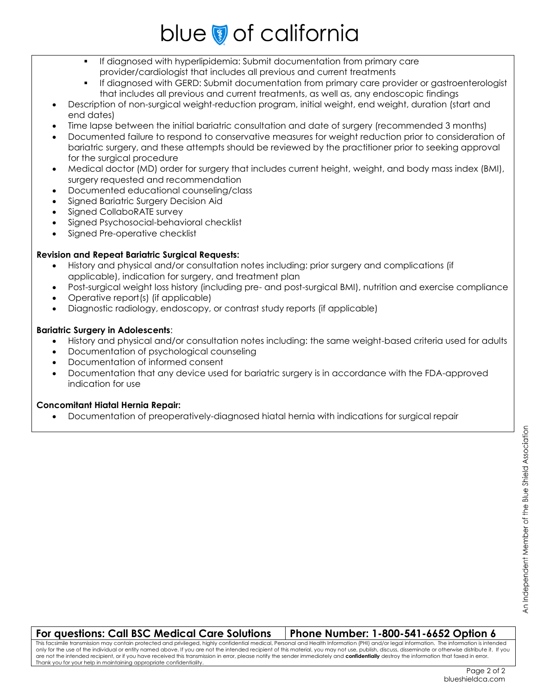# blue of california

- If diagnosed with hyperlipidemia: Submit documentation from primary care provider/cardiologist that includes all previous and current treatments
- If diagnosed with GERD: Submit documentation from primary care provider or gastroenterologist that includes all previous and current treatments, as well as, any endoscopic findings
- Description of non-surgical weight-reduction program, initial weight, end weight, duration (start and end dates)
- Time lapse between the initial bariatric consultation and date of surgery (recommended 3 months)
- Documented failure to respond to conservative measures for weight reduction prior to consideration of bariatric surgery, and these attempts should be reviewed by the practitioner prior to seeking approval for the surgical procedure
- Medical doctor (MD) order for surgery that includes current height, weight, and body mass index (BMI), surgery requested and recommendation
- Documented educational counseling/class
- Signed Bariatric Surgery Decision Aid
- Signed CollaboRATE survey
- Signed Psychosocial-behavioral checklist
- Signed Pre-operative checklist

### **Revision and Repeat Bariatric Surgical Requests:**

- History and physical and/or consultation notes including: prior surgery and complications (if applicable), indication for surgery, and treatment plan
- Post-surgical weight loss history (including pre- and post-surgical BMI), nutrition and exercise compliance
- Operative report(s) (if applicable)
- Diagnostic radiology, endoscopy, or contrast study reports (if applicable)

### **Bariatric Surgery in Adolescents**:

- History and physical and/or consultation notes including: the same weight-based criteria used for adults
- Documentation of psychological counseling
- Documentation of informed consent
- Documentation that any device used for bariatric surgery is in accordance with the FDA-approved indication for use

### **Concomitant Hiatal Hernia Repair:**

Documentation of preoperatively-diagnosed hiatal hernia with indications for surgical repair

### **For questions: Call BSC Medical Care Solutions Phone Number: 1-800-541-6652 Option 6**

This facsimile transmission may contain protected and privileged, highly confidential medical, Personal and Health Information (PHI) and/or legal information. The information is intended only for the use of the individual or entity named above. If you are not the intended recipient of this material, you may not use, publish, discuss, disseminate or otherwise distribute it. If you are not the intended recipient, or if you have received this transmission in error, please notify the sender immediately and **confidentially** destroy the information that faxed in error. Thank you for your help in maintaining appropriate confidentiality.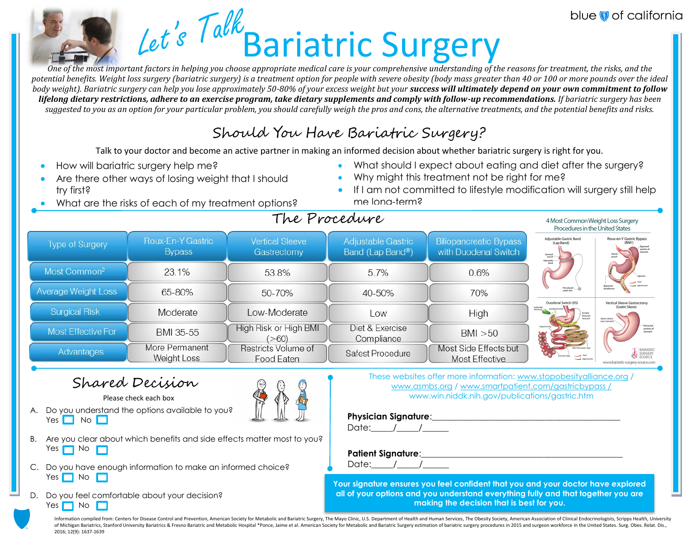# Let's Talk Bariatric Surgery

*One of the most important factors in helping you choose appropriate medical care is your comprehensive understanding of the reasons for treatment, the risks, and the potential benefits. Weight loss surgery (bariatric surgery) is a treatment option for people with severe obesity (body mass greater than 40 or 100 or more pounds over the ideal body weight). Bariatric surgery can help you lose approximately 50-80% of your excess weight but your success will ultimately depend on your own commitment to follow lifelong dietary restrictions, adhere to an exercise program, take dietary supplements and comply with follow-up recommendations. If bariatric surgery has been suggested to you as an option for your particular problem, you should carefully weigh the pros and cons, the alternative treatments, and the potential benefits and risks.*

### Should You Have Bariatric Surgery?

Talk to your doctor and become an active partner in making an informed decision about whether bariatric surgery is right for you.

- How will bariatric surgery help me?
- Are there other ways of losing weight that I should try first?
- What should I expect about eating and diet after the surgery? Why might this treatment not be right for me?
- What are the risks of each of my treatment options?
- **If I am not committed to lifestyle modification will surgery still help** me long-term?  $T_{\text{max}}$

blue of california

|                            |                                    |                                       | We Proceauvre                          |                                                       | 4 Most Common Weight Loss Surgery<br>Procedures in the United States               |                                                                    |
|----------------------------|------------------------------------|---------------------------------------|----------------------------------------|-------------------------------------------------------|------------------------------------------------------------------------------------|--------------------------------------------------------------------|
| <b>Type of Surgery</b>     | Roux-En-Y Gastric<br><b>Bypass</b> | <b>Vertical Sleeve</b><br>Gastrectomy | Adjustable Gastric<br>Band (Lap Band®) | <b>Biliopancreatic Bypass</b><br>with Duodenal Switch | Adjustable Gastric Band<br>(Lap Band)<br>Stomach<br>pouch-<br>Adjustable -<br>band | Roux-en-Y Gastric Bypass<br>portion o<br>stomach                   |
| Most Common <sup>2</sup>   | 23.1%                              | 53.8%                                 | 5.7%                                   | 0.6%                                                  |                                                                                    |                                                                    |
| <b>Average Weight Loss</b> | 65-80%                             | 50-70%                                | 40-50%                                 | 70%                                                   | Port placed<br>Duodenal Switch (DS)                                                | dundenum<br>Vertical Sleeve Gastrectomy                            |
| <b>Surgical Risk</b>       | Moderate                           | Low-Moderate                          | Low                                    | High                                                  | Galbladder<br>Removed<br>Duodenal Switch<br>Partially<br>Resected                  | (Gastric Sleeve)<br>Gastric sleeve<br>(new stomach)                |
| Most Effective For         | BMI 35-55                          | High Risk or High BMI<br>(>60)        | Diet & Exercise<br>Compliance          | BM > 50                                               |                                                                                    | Removed<br>portion of<br>stomach                                   |
| Advantages                 | More Permanent<br>Weight Loss      | Restricts Volume of<br>Food Eaten     | Safest Procedure                       | Most Side Effects but<br><b>Most Effective</b>        |                                                                                    | BARIATRIC<br>SURGERY<br>SOURCE<br>www.bariatric-surgery-source.com |

### Shared Decision

Please check each box

- 
- A. Do you understand the options available to you[?](http://www.google.com/url?sa=i&rct=j&q=&esrc=s&source=images&cd=&cad=rja&uact=8&ved=0ahUKEwi3pbfYosrSAhWLhVQKHST1DsgQjRwIBw&url=http://www.students4bestevidence.net/shared-decision-making-resource-centre-animated-short/&bvm=bv.149093890,d.cGw&psig=AFQjCNF1ai-rklXdkr9tGhQORdjVTpKVig&ust=1489178040968112)   $Yes \nightharpoonup No \nightharpoonup$
- B. Are you clear about which benefits and side effects matter most to you? Yes  $\Box$  No  $\Box$
- C. Do you have enough information to make an informed choice? Yes  $\Box$  No  $\Box$
- D. Do you feel comfortable about your decision? Yes  $\Box$  No  $\Box$

These websites offer more information: [www.stopobesityalliance.org](http://www.stopobesityalliance.org/) / [www.asmbs.org](http://www.asmbs.org/) / [www.smartpatient.com/gastricbypass /](http://www.smartpatient.com/gastricbypass%20/) www.win.niddk.nih.gov/publications/gastric.htm

### **Physician Signature:**

Date:  $/$  /

### Patient Signature:

Date:  $/$  /

**Your signature ensures you feel confident that you and your doctor have explored all of your options and you understand everything fully and that together you are making the decision that is best for you.**

Information compiled from: Centers for Disease Control and Prevention. American Society for Metabolic and Bariatric Surgery. The Mayo Clinic, U.S. Department of Health and Human Services. The Obesity Society. American Asso of Michigan Bariatrics, Stanford University Bariatrics & Fresno Bariatric and Metabolic Hospital \*Ponce, Jaime et al. American Society for Metabolic and Bariatric Surgery estimation of bariatric surgery procedures in 2015 2016; 12(9): 1637-1639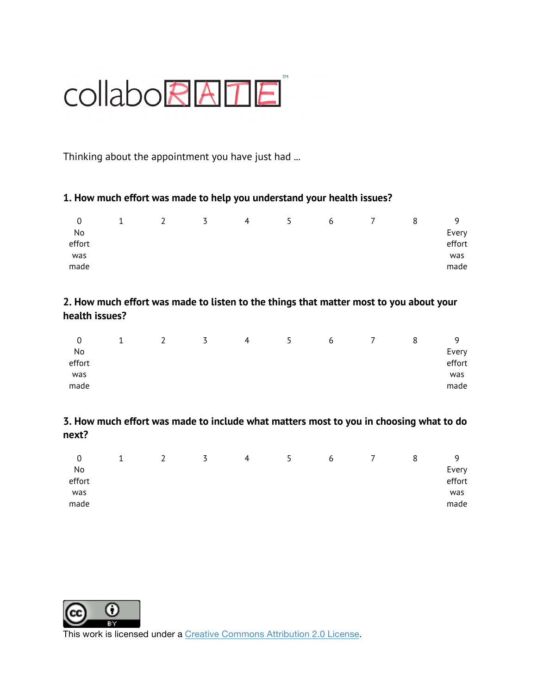# COllaboRATE

Thinking about the appointment you have just had ...

### **1. How much effort was made to help you understand your health issues?**

| 0      |  | 5 | 4 | 5. | b | 8 | a      |
|--------|--|---|---|----|---|---|--------|
| No     |  |   |   |    |   |   | Every  |
| effort |  |   |   |    |   |   | effort |
| was    |  |   |   |    |   |   | was    |
| made   |  |   |   |    |   |   | made   |

### **2. How much effort was made to listen to the things that matter most to you about your health issues?**

| 0      | <b>.</b> | ▴ | $\ddot{\phantom{1}}$<br>ٮ | 4 | ь.<br>┙ | ь | 8 | a      |
|--------|----------|---|---------------------------|---|---------|---|---|--------|
| No     |          |   |                           |   |         |   |   | Every  |
| effort |          |   |                           |   |         |   |   | effort |
| was    |          |   |                           |   |         |   |   | was    |
| made   |          |   |                           |   |         |   |   | made   |

**3. How much effort was made to include what matters most to you in choosing what to do next?**

| 0      | ∸ | $\ddot{\phantom{1}}$<br>◡ | 4 | 5. | b | 8 | a      |
|--------|---|---------------------------|---|----|---|---|--------|
| No     |   |                           |   |    |   |   | Every  |
| effort |   |                           |   |    |   |   | effort |
| was    |   |                           |   |    |   |   | was    |
| made   |   |                           |   |    |   |   | made   |



This work is licensed under a Creative Commons Attribution 2.0 License.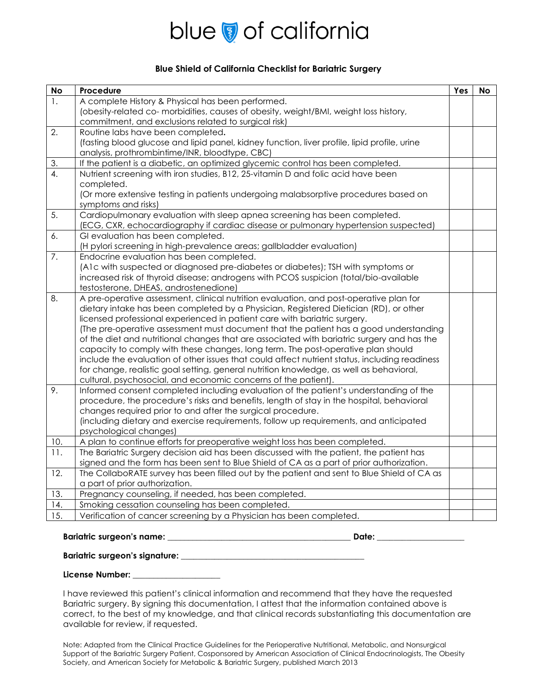# blue of california

### **Blue Shield of California Checklist for Bariatric Surgery**

| <b>No</b>        | Procedure                                                                                                                                            | Yes | <b>No</b> |
|------------------|------------------------------------------------------------------------------------------------------------------------------------------------------|-----|-----------|
| 1.               | A complete History & Physical has been performed.                                                                                                    |     |           |
|                  | (obesity-related co- morbidities, causes of obesity, weight/BMI, weight loss history,                                                                |     |           |
|                  | commitment, and exclusions related to surgical risk)                                                                                                 |     |           |
| 2.               | Routine labs have been completed.                                                                                                                    |     |           |
|                  | (fasting blood glucose and lipid panel, kidney function, liver profile, lipid profile, urine                                                         |     |           |
|                  | analysis, prothrombintime/INR, bloodtype, CBC)                                                                                                       |     |           |
| 3.               | If the patient is a diabetic, an optimized glycemic control has been completed.                                                                      |     |           |
| $\overline{4}$ . | Nutrient screening with iron studies, B12, 25-vitamin D and folic acid have been                                                                     |     |           |
|                  | completed.                                                                                                                                           |     |           |
|                  | (Or more extensive testing in patients undergoing malabsorptive procedures based on                                                                  |     |           |
|                  | symptoms and risks)                                                                                                                                  |     |           |
| 5.               | Cardiopulmonary evaluation with sleep apnea screening has been completed.                                                                            |     |           |
|                  | (ECG, CXR, echocardiography if cardiac disease or pulmonary hypertension suspected)                                                                  |     |           |
| 6.               | GI evaluation has been completed.                                                                                                                    |     |           |
|                  | (H pylori screening in high-prevalence areas; gallbladder evaluation)                                                                                |     |           |
| 7.               | Endocrine evaluation has been completed.                                                                                                             |     |           |
|                  | (A1c with suspected or diagnosed pre-diabetes or diabetes); TSH with symptoms or                                                                     |     |           |
|                  | increased risk of thyroid disease; androgens with PCOS suspicion (total/bio-available                                                                |     |           |
|                  | testosterone, DHEAS, androstenedione)                                                                                                                |     |           |
| 8.               | A pre-operative assessment, clinical nutrition evaluation, and post-operative plan for                                                               |     |           |
|                  | dietary intake has been completed by a Physician, Registered Dietician (RD), or other                                                                |     |           |
|                  | licensed professional experienced in patient care with bariatric surgery.                                                                            |     |           |
|                  | (The pre-operative assessment must document that the patient has a good understanding                                                                |     |           |
|                  | of the diet and nutritional changes that are associated with bariatric surgery and has the                                                           |     |           |
|                  | capacity to comply with these changes, long term. The post-operative plan should                                                                     |     |           |
|                  | include the evaluation of other issues that could affect nutrient status, including readiness                                                        |     |           |
|                  | for change, realistic goal setting, general nutrition knowledge, as well as behavioral,                                                              |     |           |
|                  | cultural, psychosocial, and economic concerns of the patient).                                                                                       |     |           |
| 9.               | Informed consent completed including evaluation of the patient's understanding of the                                                                |     |           |
|                  | procedure, the procedure's risks and benefits, length of stay in the hospital, behavioral                                                            |     |           |
|                  | changes required prior to and after the surgical procedure.<br>(including dietary and exercise requirements, follow up requirements, and anticipated |     |           |
|                  | psychological changes)                                                                                                                               |     |           |
| 10.              | A plan to continue efforts for preoperative weight loss has been completed.                                                                          |     |           |
| 11.              | The Bariatric Surgery decision aid has been discussed with the patient, the patient has                                                              |     |           |
|                  | signed and the form has been sent to Blue Shield of CA as a part of prior authorization.                                                             |     |           |
| 12.              | The CollaboRATE survey has been filled out by the patient and sent to Blue Shield of CA as                                                           |     |           |
|                  | a part of prior authorization.                                                                                                                       |     |           |
| 13.              | Pregnancy counseling, if needed, has been completed.                                                                                                 |     |           |
| 14.              | Smoking cessation counseling has been completed.                                                                                                     |     |           |
| 15.              | Verification of cancer screening by a Physician has been completed.                                                                                  |     |           |
|                  |                                                                                                                                                      |     |           |

### **Bariatric surgeon's name:** \_\_\_\_\_\_\_\_\_\_\_\_\_\_\_\_\_\_\_\_\_\_\_\_\_\_\_\_\_\_\_\_\_\_\_\_\_\_\_\_\_\_\_\_ **Date:** \_\_\_\_\_\_\_\_\_\_\_\_\_\_\_\_\_\_\_\_\_

**Bariatric surgeon's signature:** \_\_\_\_\_\_\_\_\_\_\_\_\_\_\_\_\_\_\_\_\_\_\_\_\_\_\_\_\_\_\_\_\_\_\_\_\_\_\_\_\_\_\_\_

#### **License Number:** \_\_\_\_\_\_\_\_\_\_\_\_\_\_\_\_\_\_\_\_\_

I have reviewed this patient's clinical information and recommend that they have the requested Bariatric surgery. By signing this documentation, I attest that the information contained above is correct, to the best of my knowledge, and that clinical records substantiating this documentation are available for review, if requested.

Note: Adapted from the Clinical Practice Guidelines for the Perioperative Nutritional, Metabolic, and Nonsurgical Support of the Bariatric Surgery Patient, Cosponsored by American Association of Clinical Endocrinologists, The Obesity Society, and American Society for Metabolic & Bariatric Surgery, published March 2013